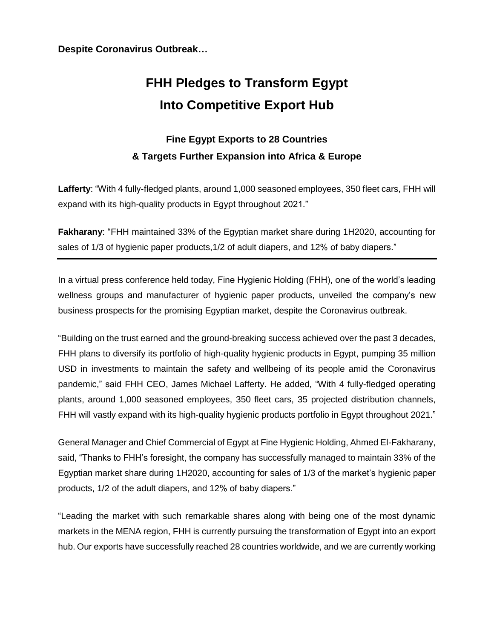**Despite Coronavirus Outbreak…**

## **FHH Pledges to Transform Egypt Into Competitive Export Hub**

## **Fine Egypt Exports to 28 Countries & Targets Further Expansion into Africa & Europe**

**Lafferty**: "With 4 fully-fledged plants, around 1,000 seasoned employees, 350 fleet cars, FHH will expand with its high-quality products in Egypt throughout 2021."

**Fakharany**: "FHH maintained 33% of the Egyptian market share during 1H2020, accounting for sales of 1/3 of hygienic paper products,1/2 of adult diapers, and 12% of baby diapers."

In a virtual press conference held today, Fine Hygienic Holding (FHH), one of the world's leading wellness groups and manufacturer of hygienic paper products, unveiled the company's new business prospects for the promising Egyptian market, despite the Coronavirus outbreak.

"Building on the trust earned and the ground-breaking success achieved over the past 3 decades, FHH plans to diversify its portfolio of high-quality hygienic products in Egypt, pumping 35 million USD in investments to maintain the safety and wellbeing of its people amid the Coronavirus pandemic," said FHH CEO, James Michael Lafferty. He added, "With 4 fully-fledged operating plants, around 1,000 seasoned employees, 350 fleet cars, 35 projected distribution channels, FHH will vastly expand with its high-quality hygienic products portfolio in Egypt throughout 2021."

General Manager and Chief Commercial of Egypt at Fine Hygienic Holding, Ahmed El-Fakharany, said, "Thanks to FHH's foresight, the company has successfully managed to maintain 33% of the Egyptian market share during 1H2020, accounting for sales of 1/3 of the market's hygienic paper products, 1/2 of the adult diapers, and 12% of baby diapers."

"Leading the market with such remarkable shares along with being one of the most dynamic markets in the MENA region, FHH is currently pursuing the transformation of Egypt into an export hub. Our exports have successfully reached 28 countries worldwide, and we are currently working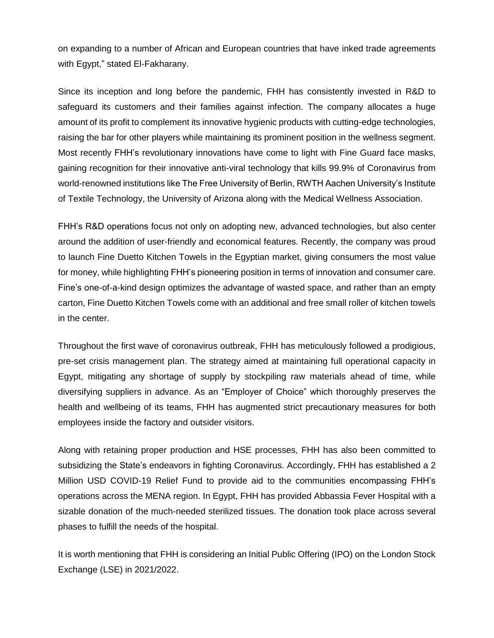on expanding to a number of African and European countries that have inked trade agreements with Egypt," stated EI-Fakharany.

Since its inception and long before the pandemic, FHH has consistently invested in R&D to safeguard its customers and their families against infection. The company allocates a huge amount of its profit to complement its innovative hygienic products with cutting-edge technologies, raising the bar for other players while maintaining its prominent position in the wellness segment. Most recently FHH's revolutionary innovations have come to light with Fine Guard face masks, gaining recognition for their innovative anti-viral technology that kills 99.9% of Coronavirus from world-renowned institutions like The Free University of Berlin, RWTH Aachen University's Institute of Textile Technology, the University of Arizona along with the Medical Wellness Association.

FHH's R&D operations focus not only on adopting new, advanced technologies, but also center around the addition of user-friendly and economical features. Recently, the company was proud to launch Fine Duetto Kitchen Towels in the Egyptian market, giving consumers the most value for money, while highlighting FHH's pioneering position in terms of innovation and consumer care. Fine's one-of-a-kind design optimizes the advantage of wasted space, and rather than an empty carton, Fine Duetto Kitchen Towels come with an additional and free small roller of kitchen towels in the center.

Throughout the first wave of coronavirus outbreak, FHH has meticulously followed a prodigious, pre-set crisis management plan. The strategy aimed at maintaining full operational capacity in Egypt, mitigating any shortage of supply by stockpiling raw materials ahead of time, while diversifying suppliers in advance. As an "Employer of Choice" which thoroughly preserves the health and wellbeing of its teams, FHH has augmented strict precautionary measures for both employees inside the factory and outsider visitors.

Along with retaining proper production and HSE processes, FHH has also been committed to subsidizing the State's endeavors in fighting Coronavirus. Accordingly, FHH has established a 2 Million USD COVID-19 Relief Fund to provide aid to the communities encompassing FHH's operations across the MENA region. In Egypt, FHH has provided Abbassia Fever Hospital with a sizable donation of the much-needed sterilized tissues. The donation took place across several phases to fulfill the needs of the hospital.

It is worth mentioning that FHH is considering an Initial Public Offering (IPO) on the London Stock Exchange (LSE) in 2021/2022.